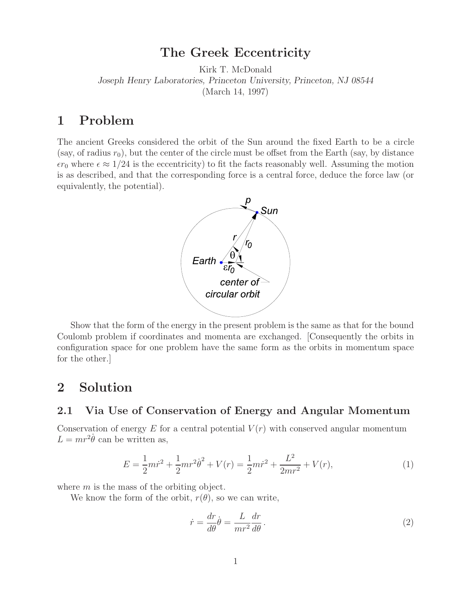## **The Greek Eccentricity**

Kirk T. McDonald *Joseph Henry Laboratories, Princeton University, Princeton, NJ 08544* (March 14, 1997)

## **1 Problem**

The ancient Greeks considered the orbit of the Sun around the fixed Earth to be a circle (say, of radius  $r_0$ ), but the center of the circle must be offset from the Earth (say, by distance  $\epsilon r_0$  where  $\epsilon \approx 1/24$  is the eccentricity) to fit the facts reasonably well. Assuming the motion is as described, and that the corresponding force is a central force, deduce the force law (or equivalently, the potential).



Show that the form of the energy in the present problem is the same as that for the bound Coulomb problem if coordinates and momenta are exchanged. [Consequently the orbits in configuration space for one problem have the same form as the orbits in momentum space for the other.]

# **2 Solution**

### **2.1 Via Use of Conservation of Energy and Angular Momentum**

Conservation of energy  $E$  for a central potential  $V(r)$  with conserved angular momentum  $L = mr^2 \dot{\theta}$  can be written as,

$$
E = \frac{1}{2}mr^2 + \frac{1}{2}mr^2\dot{\theta}^2 + V(r) = \frac{1}{2}mr^2 + \frac{L^2}{2mr^2} + V(r),
$$
\n(1)

where  $m$  is the mass of the orbiting object.

We know the form of the orbit,  $r(\theta)$ , so we can write,

$$
\dot{r} = \frac{dr}{d\theta}\dot{\theta} = \frac{L}{mr^2}\frac{dr}{d\theta}.
$$
\n(2)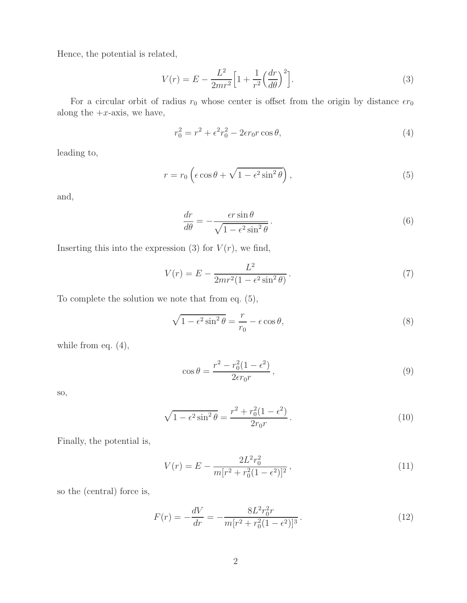Hence, the potential is related,

$$
V(r) = E - \frac{L^2}{2mr^2} \left[ 1 + \frac{1}{r^2} \left( \frac{dr}{d\theta} \right)^2 \right].
$$
 (3)

For a circular orbit of radius  $r_0$  whose center is offset from the origin by distance  $\epsilon r_0$ along the  $+x$ -axis, we have,

$$
r_0^2 = r^2 + \epsilon^2 r_0^2 - 2\epsilon r_0 r \cos \theta,\tag{4}
$$

leading to,

$$
r = r_0 \left( \epsilon \cos \theta + \sqrt{1 - \epsilon^2 \sin^2 \theta} \right), \tag{5}
$$

and,

$$
\frac{dr}{d\theta} = -\frac{\epsilon r \sin \theta}{\sqrt{1 - \epsilon^2 \sin^2 \theta}}.
$$
\n(6)

Inserting this into the expression (3) for  $V(r)$ , we find,

$$
V(r) = E - \frac{L^2}{2mr^2(1 - \epsilon^2 \sin^2 \theta)}.
$$
\n(7)

To complete the solution we note that from eq. (5),

$$
\sqrt{1 - \epsilon^2 \sin^2 \theta} = \frac{r}{r_0} - \epsilon \cos \theta,\tag{8}
$$

while from eq.  $(4)$ ,

$$
\cos \theta = \frac{r^2 - r_0^2 (1 - \epsilon^2)}{2\epsilon r_0 r},\tag{9}
$$

so,

$$
\sqrt{1 - \epsilon^2 \sin^2 \theta} = \frac{r^2 + r_0^2 (1 - \epsilon^2)}{2r_0 r}.
$$
\n(10)

Finally, the potential is,

$$
V(r) = E - \frac{2L^2r_0^2}{m[r^2 + r_0^2(1 - \epsilon^2)]^2},
$$
\n(11)

so the (central) force is,

$$
F(r) = -\frac{dV}{dr} = -\frac{8L^2r_0^2r}{m[r^2 + r_0^2(1 - \epsilon^2)]^3}.
$$
\n(12)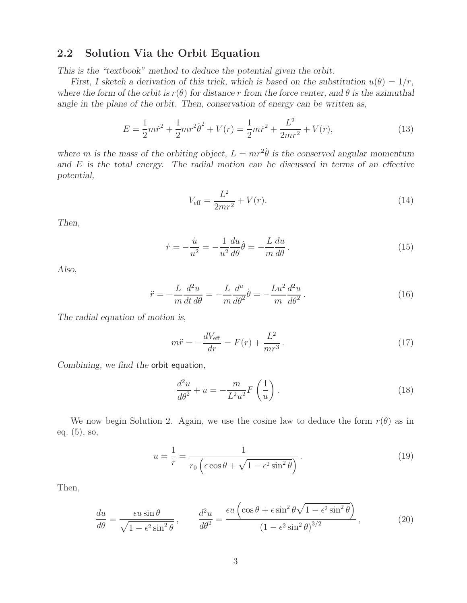### **2.2 Solution Via the Orbit Equation**

*This is the "textbook" method to deduce the potential given the orbit.*

*First, I sketch a derivation of this trick, which is based on the substitution*  $u(\theta) = 1/r$ , *where the form of the orbit is*  $r(\theta)$  *for distance* r *from the force center, and*  $\theta$  *is the azimuthal angle in the plane of the orbit. Then, conservation of energy can be written as,*

$$
E = \frac{1}{2}mr^2 + \frac{1}{2}mr^2\dot{\theta}^2 + V(r) = \frac{1}{2}m\dot{r}^2 + \frac{L^2}{2mr^2} + V(r),
$$
\n(13)

where *m* is the mass of the orbiting object,  $L = mr^2\dot{\theta}$  is the conserved angular momentum *and* E *is the total energy. The radial motion can be discussed in terms of an effective potential,*

$$
V_{\text{eff}} = \frac{L^2}{2mr^2} + V(r). \tag{14}
$$

*Then,*

$$
\dot{r} = -\frac{\dot{u}}{u^2} = -\frac{1}{u^2}\frac{du}{d\theta}\dot{\theta} = -\frac{L}{m}\frac{du}{d\theta}.
$$
\n(15)

*Also,*

$$
\ddot{r} = -\frac{L}{m}\frac{d^2u}{dt\,d\theta} = -\frac{L}{m}\frac{d^u}{d\theta^2}\dot{\theta} = -\frac{Lu^2}{m}\frac{d^2u}{d\theta^2}.
$$
\n(16)

*The radial equation of motion is,*

$$
m\ddot{r} = -\frac{dV_{\text{eff}}}{dr} = F(r) + \frac{L^2}{mr^3}.
$$
\n(17)

*Combining, we find the* orbit equation*,*

$$
\frac{d^2u}{d\theta^2} + u = -\frac{m}{L^2u^2}F\left(\frac{1}{u}\right). \tag{18}
$$

We now begin Solution 2. Again, we use the cosine law to deduce the form  $r(\theta)$  as in eq. (5), so,

$$
u = \frac{1}{r} = \frac{1}{r_0 \left(\epsilon \cos \theta + \sqrt{1 - \epsilon^2 \sin^2 \theta}\right)}.
$$
\n(19)

Then,

$$
\frac{du}{d\theta} = \frac{\epsilon u \sin \theta}{\sqrt{1 - \epsilon^2 \sin^2 \theta}}, \qquad \frac{d^2 u}{d\theta^2} = \frac{\epsilon u \left(\cos \theta + \epsilon \sin^2 \theta \sqrt{1 - \epsilon^2 \sin^2 \theta}\right)}{(1 - \epsilon^2 \sin^2 \theta)^{3/2}},
$$
(20)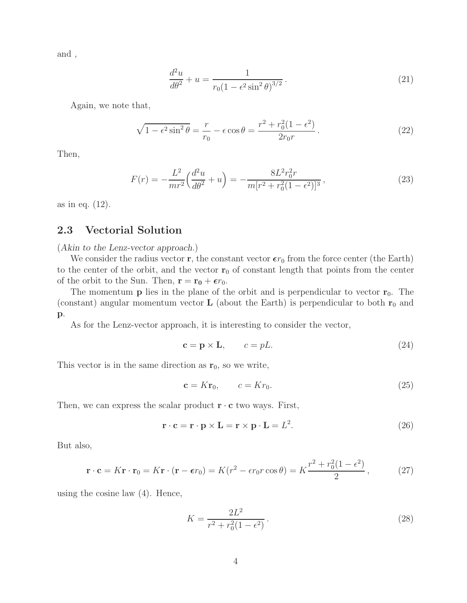and ,

$$
\frac{d^2u}{d\theta^2} + u = \frac{1}{r_0(1 - \epsilon^2 \sin^2 \theta)^{3/2}}.
$$
\n(21)

Again, we note that,

$$
\sqrt{1 - \epsilon^2 \sin^2 \theta} = \frac{r}{r_0} - \epsilon \cos \theta = \frac{r^2 + r_0^2 (1 - \epsilon^2)}{2r_0 r}.
$$
\n(22)

Then,

$$
F(r) = -\frac{L^2}{mr^2} \left(\frac{d^2u}{d\theta^2} + u\right) = -\frac{8L^2r_0^2r}{m[r^2 + r_0^2(1 - \epsilon^2)]^3},\tag{23}
$$

as in eq. (12).

#### **2.3 Vectorial Solution**

(*Akin to the Lenz-vector approach.*)

We consider the radius vector **r**, the constant vector  $\epsilon r_0$  from the force center (the Earth) to the center of the orbit, and the vector  $r_0$  of constant length that points from the center of the orbit to the Sun. Then,  $\mathbf{r} = \mathbf{r_0} + \epsilon r_0$ .

The momentum **p** lies in the plane of the orbit and is perpendicular to vector  $\mathbf{r}_0$ . The (constant) angular momentum vector  $\bf{L}$  (about the Earth) is perpendicular to both  $\bf{r}_0$  and **p**.

As for the Lenz-vector approach, it is interesting to consider the vector,

$$
\mathbf{c} = \mathbf{p} \times \mathbf{L}, \qquad c = pL. \tag{24}
$$

This vector is in the same direction as  $\mathbf{r}_0$ , so we write,

$$
\mathbf{c} = K\mathbf{r}_0, \qquad c = Kr_0. \tag{25}
$$

Then, we can express the scalar product  $\mathbf{r} \cdot \mathbf{c}$  two ways. First,

$$
\mathbf{r} \cdot \mathbf{c} = \mathbf{r} \cdot \mathbf{p} \times \mathbf{L} = \mathbf{r} \times \mathbf{p} \cdot \mathbf{L} = L^2.
$$
 (26)

But also,

$$
\mathbf{r} \cdot \mathbf{c} = K\mathbf{r} \cdot \mathbf{r}_0 = K\mathbf{r} \cdot (\mathbf{r} - \epsilon r_0) = K(r^2 - \epsilon r_0 r \cos \theta) = K \frac{r^2 + r_0^2 (1 - \epsilon^2)}{2},\tag{27}
$$

using the cosine law (4). Hence,

$$
K = \frac{2L^2}{r^2 + r_0^2(1 - \epsilon^2)}.
$$
\n(28)